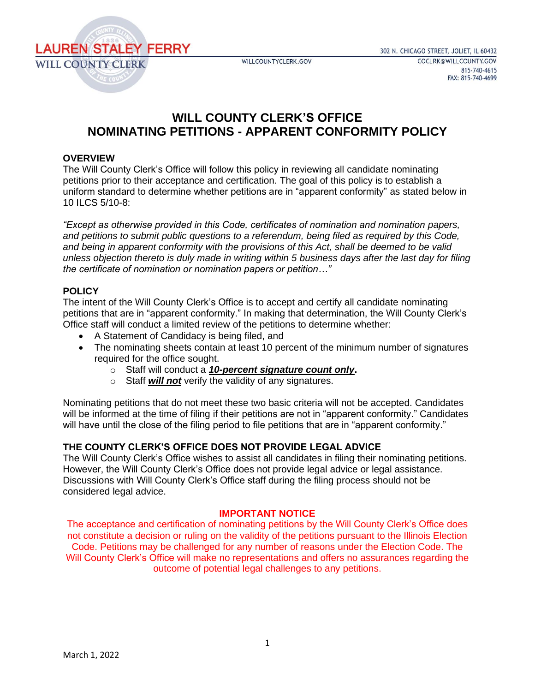

# **WILL COUNTY CLERK'S OFFICE NOMINATING PETITIONS - APPARENT CONFORMITY POLICY**

## **OVERVIEW**

The Will County Clerk's Office will follow this policy in reviewing all candidate nominating petitions prior to their acceptance and certification. The goal of this policy is to establish a uniform standard to determine whether petitions are in "apparent conformity" as stated below in 10 ILCS 5/10-8:

*"Except as otherwise provided in this Code, certificates of nomination and nomination papers, and petitions to submit public questions to a referendum, being filed as required by this Code, and being in apparent conformity with the provisions of this Act, shall be deemed to be valid unless objection thereto is duly made in writing within 5 business days after the last day for filing the certificate of nomination or nomination papers or petition…"*

## **POLICY**

The intent of the Will County Clerk's Office is to accept and certify all candidate nominating petitions that are in "apparent conformity." In making that determination, the Will County Clerk's Office staff will conduct a limited review of the petitions to determine whether:

- A Statement of Candidacy is being filed, and
- The nominating sheets contain at least 10 percent of the minimum number of signatures required for the office sought.
	- o Staff will conduct a *10-percent signature count only***.**
	- o Staff *will not* verify the validity of any signatures.

Nominating petitions that do not meet these two basic criteria will not be accepted. Candidates will be informed at the time of filing if their petitions are not in "apparent conformity." Candidates will have until the close of the filing period to file petitions that are in "apparent conformity."

# **THE COUNTY CLERK'S OFFICE DOES NOT PROVIDE LEGAL ADVICE**

The Will County Clerk's Office wishes to assist all candidates in filing their nominating petitions. However, the Will County Clerk's Office does not provide legal advice or legal assistance. Discussions with Will County Clerk's Office staff during the filing process should not be considered legal advice.

### **IMPORTANT NOTICE**

The acceptance and certification of nominating petitions by the Will County Clerk's Office does not constitute a decision or ruling on the validity of the petitions pursuant to the Illinois Election Code. Petitions may be challenged for any number of reasons under the Election Code. The Will County Clerk's Office will make no representations and offers no assurances regarding the outcome of potential legal challenges to any petitions.